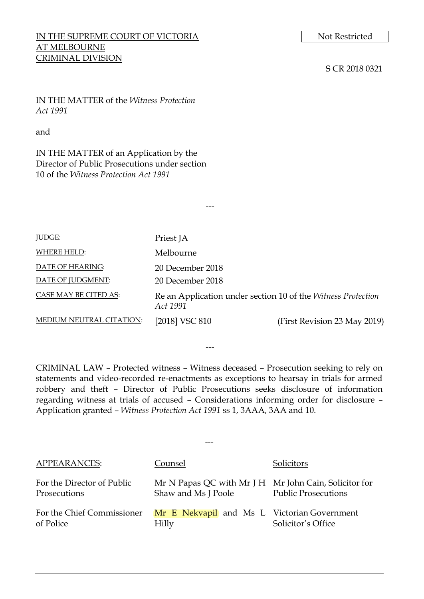# IN THE SUPREME COURT OF VICTORIA Not Restricted AT MELBOURNE CRIMINAL DIVISION

## S CR 2018 0321

IN THE MATTER of the *Witness Protection Act 1991*

### and

IN THE MATTER of an Application by the Director of Public Prosecutions under section 10 of the *Witness Protection Act 1991*

| <b>JUDGE:</b>            | Priest JA                                                                |                              |
|--------------------------|--------------------------------------------------------------------------|------------------------------|
| WHERE HELD:              | Melbourne                                                                |                              |
| DATE OF HEARING:         | 20 December 2018                                                         |                              |
| DATE OF JUDGMENT:        | 20 December 2018                                                         |                              |
| CASE MAY BE CITED AS:    | Re an Application under section 10 of the Witness Protection<br>Act 1991 |                              |
| MEDIUM NEUTRAL CITATION: | [2018] VSC 810                                                           | (First Revision 23 May 2019) |

---

CRIMINAL LAW – Protected witness – Witness deceased – Prosecution seeking to rely on statements and video-recorded re-enactments as exceptions to hearsay in trials for armed robbery and theft – Director of Public Prosecutions seeks disclosure of information regarding witness at trials of accused – Considerations informing order for disclosure – Application granted – *Witness Protection Act 1991* ss 1, 3AAA, 3AA and 10.

---

| <b>APPEARANCES:</b>                        | Counsel                                                                      | Solicitors                 |
|--------------------------------------------|------------------------------------------------------------------------------|----------------------------|
| For the Director of Public<br>Prosecutions | Mr N Papas QC with Mr J H Mr John Cain, Solicitor for<br>Shaw and Ms J Poole | <b>Public Prosecutions</b> |
| For the Chief Commissioner<br>of Police    | Mr E Nekvapil and Ms L Victorian Government<br>Hilly                         | Solicitor's Office         |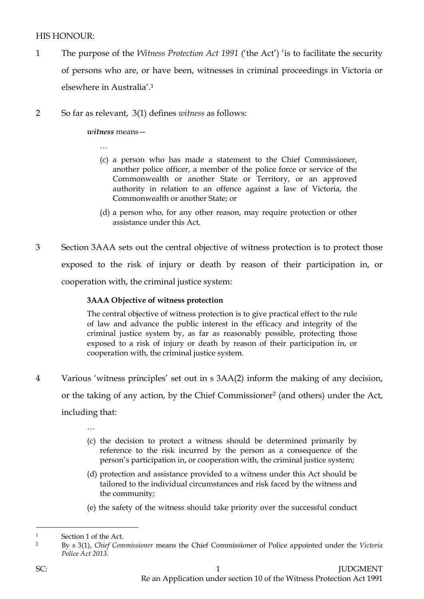# HIS HONOUR<sup>.</sup>

- 1 The purpose of the *Witness Protection Act 1991* ('the Act') 'is to facilitate the security of persons who are, or have been, witnesses in criminal proceedings in Victoria or elsewhere in Australia'. 1
- 2 So far as relevant, 3(1) defines *witness* as follows:

*witness* means—

…

- (c) a person who has made a statement to the Chief Commissioner, another police officer, a member of the police force or service of the Commonwealth or another State or Territory, or an approved authority in relation to an offence against a law of Victoria, the Commonwealth or another State; or
- (d) a person who, for any other reason, may require protection or other assistance under this Act.
- 3 Section 3AAA sets out the central objective of witness protection is to protect those exposed to the risk of injury or death by reason of their participation in, or cooperation with, the criminal justice system:

# **3AAA Objective of witness protection**

The central objective of witness protection is to give practical effect to the rule of law and advance the public interest in the efficacy and integrity of the criminal justice system by, as far as reasonably possible, protecting those exposed to a risk of injury or death by reason of their participation in, or cooperation with, the criminal justice system.

4 Various 'witness principles' set out in s 3AA(2) inform the making of any decision, or the taking of any action, by the Chief Commissioner<sup>2</sup> (and others) under the Act, including that:

…

- (c) the decision to protect a witness should be determined primarily by reference to the risk incurred by the person as a consequence of the person's participation in, or cooperation with, the criminal justice system;
- (d) protection and assistance provided to a witness under this Act should be tailored to the individual circumstances and risk faced by the witness and the community;
- (e) the safety of the witness should take priority over the successful conduct

<sup>1</sup> Section 1 of the Act.

<sup>2</sup> By s 3(1), *Chief Commissioner* means the Chief Commissioner of Police appointed under the *Victoria Police Act 2013.*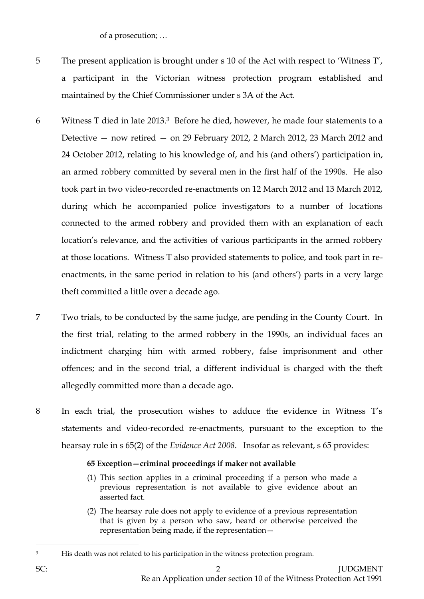of a prosecution; …

- 5 The present application is brought under s 10 of the Act with respect to 'Witness T', a participant in the Victorian witness protection program established and maintained by the Chief Commissioner under s 3A of the Act.
- 6 Witness T died in late 2013.3 Before he died, however, he made four statements to a Detective — now retired — on 29 February 2012, 2 March 2012, 23 March 2012 and 24 October 2012, relating to his knowledge of, and his (and others') participation in, an armed robbery committed by several men in the first half of the 1990s. He also took part in two video-recorded re-enactments on 12 March 2012 and 13 March 2012, during which he accompanied police investigators to a number of locations connected to the armed robbery and provided them with an explanation of each location's relevance, and the activities of various participants in the armed robbery at those locations. Witness T also provided statements to police, and took part in reenactments, in the same period in relation to his (and others') parts in a very large theft committed a little over a decade ago.
- 7 Two trials, to be conducted by the same judge, are pending in the County Court. In the first trial, relating to the armed robbery in the 1990s, an individual faces an indictment charging him with armed robbery, false imprisonment and other offences; and in the second trial, a different individual is charged with the theft allegedly committed more than a decade ago.
- 8 In each trial, the prosecution wishes to adduce the evidence in Witness T's statements and video-recorded re-enactments, pursuant to the exception to the hearsay rule in s 65(2) of the *Evidence Act 2008*. Insofar as relevant, s 65 provides:

# **65 Exception—criminal proceedings if maker not available**

- (1) This section applies in a criminal proceeding if a person who made a previous representation is not available to give evidence about an asserted fact.
- (2) The hearsay rule does not apply to evidence of a previous representation that is given by a person who saw, heard or otherwise perceived the representation being made, if the representation—

<sup>&</sup>lt;sup>3</sup> His death was not related to his participation in the witness protection program.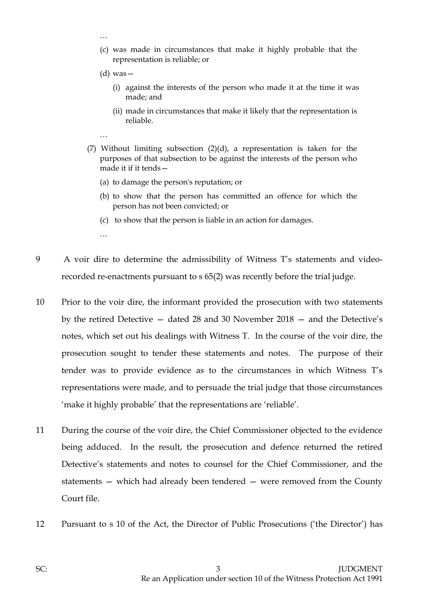…

…

…

- (c) was made in circumstances that make it highly probable that the representation is reliable; or
- $(d)$  was
	- (i) against the interests of the person who made it at the time it was made; and
	- (ii) made in circumstances that make it likely that the representation is reliable.
- (7) Without limiting subsection  $(2)(d)$ , a representation is taken for the purposes of that subsection to be against the interests of the person who made it if it tends—
	- (a) to damage the person's reputation; or
	- (b) to show that the person has committed an offence for which the person has not been convicted; or
	- (c) to show that the person is liable in an action for damages.
- 9 A voir dire to determine the admissibility of Witness T's statements and videorecorded re-enactments pursuant to s 65(2) was recently before the trial judge.
- 10 Prior to the voir dire, the informant provided the prosecution with two statements by the retired Detective — dated 28 and 30 November 2018 — and the Detective's notes, which set out his dealings with Witness T. In the course of the voir dire, the prosecution sought to tender these statements and notes. The purpose of their tender was to provide evidence as to the circumstances in which Witness T's representations were made, and to persuade the trial judge that those circumstances 'make it highly probable' that the representations are 'reliable'.
- 11 During the course of the voir dire, the Chief Commissioner objected to the evidence being adduced. In the result, the prosecution and defence returned the retired Detective's statements and notes to counsel for the Chief Commissioner, and the statements — which had already been tendered — were removed from the County Court file.
- 12 Pursuant to s 10 of the Act, the Director of Public Prosecutions ('the Director') has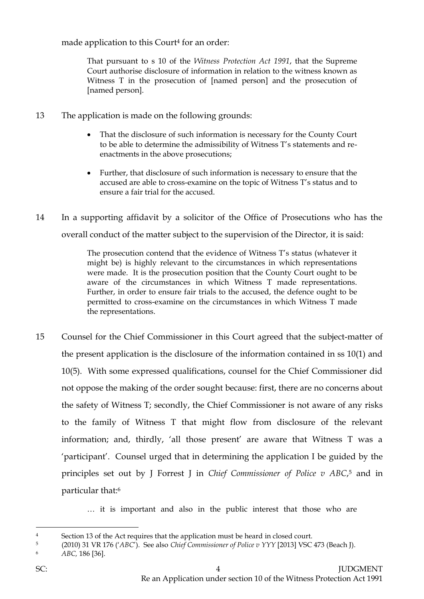made application to this Court<sup>4</sup> for an order:

That pursuant to s 10 of the *Witness Protection Act 1991*, that the Supreme Court authorise disclosure of information in relation to the witness known as Witness T in the prosecution of [named person] and the prosecution of [named person].

- 13 The application is made on the following grounds:
	- That the disclosure of such information is necessary for the County Court to be able to determine the admissibility of Witness T's statements and reenactments in the above prosecutions;
	- Further, that disclosure of such information is necessary to ensure that the accused are able to cross-examine on the topic of Witness T's status and to ensure a fair trial for the accused.
- 14 In a supporting affidavit by a solicitor of the Office of Prosecutions who has the overall conduct of the matter subject to the supervision of the Director, it is said:

The prosecution contend that the evidence of Witness T's status (whatever it might be) is highly relevant to the circumstances in which representations were made. It is the prosecution position that the County Court ought to be aware of the circumstances in which Witness T made representations. Further, in order to ensure fair trials to the accused, the defence ought to be permitted to cross-examine on the circumstances in which Witness T made the representations.

15 Counsel for the Chief Commissioner in this Court agreed that the subject-matter of the present application is the disclosure of the information contained in ss 10(1) and 10(5). With some expressed qualifications, counsel for the Chief Commissioner did not oppose the making of the order sought because: first, there are no concerns about the safety of Witness T; secondly, the Chief Commissioner is not aware of any risks to the family of Witness T that might flow from disclosure of the relevant information; and, thirdly, 'all those present' are aware that Witness T was a 'participant'. Counsel urged that in determining the application I be guided by the principles set out by J Forrest J in *Chief Commissioner of Police v ABC*, <sup>5</sup> and in particular that:<sup>6</sup>

… it is important and also in the public interest that those who are

<sup>4</sup> Section 13 of the Act requires that the application must be heard in closed court.

<sup>5</sup> (2010) 31 VR 176 ('*ABC*'). See also *Chief Commissioner of Police v YYY* [2013] VSC 473 (Beach J). <sup>6</sup> *ABC,* 186 [36].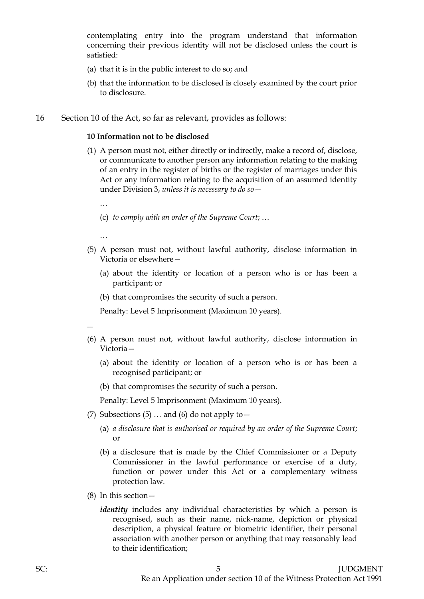contemplating entry into the program understand that information concerning their previous identity will not be disclosed unless the court is satisfied:

- (a) that it is in the public interest to do so; and
- (b) that the information to be disclosed is closely examined by the court prior to disclosure.
- 16 Section 10 of the Act, so far as relevant, provides as follows:

#### **10 Information not to be disclosed**

- (1) A person must not, either directly or indirectly, make a record of, disclose, or communicate to another person any information relating to the making of an entry in the register of births or the register of marriages under this Act or any information relating to the acquisition of an assumed identity under Division 3, *unless it is necessary to do so*—
	- …
	- (c) *to comply with an order of the Supreme Court*; …
	- …
- (5) A person must not, without lawful authority, disclose information in Victoria or elsewhere—
	- (a) about the identity or location of a person who is or has been a participant; or
	- (b) that compromises the security of such a person.

Penalty: Level 5 Imprisonment (Maximum 10 years).

- ...
- (6) A person must not, without lawful authority, disclose information in Victoria—
	- (a) about the identity or location of a person who is or has been a recognised participant; or
	- (b) that compromises the security of such a person.

Penalty: Level 5 Imprisonment (Maximum 10 years).

- (7) Subsections  $(5)$  ... and  $(6)$  do not apply to  $-$ 
	- (a) *a disclosure that is authorised or required by an order of the Supreme Court*; or
	- (b) a disclosure that is made by the Chief Commissioner or a Deputy Commissioner in the lawful performance or exercise of a duty, function or power under this Act or a complementary witness protection law.
- (8) In this section
	- *identity* includes any individual characteristics by which a person is recognised, such as their name, nick-name, depiction or physical description, a physical feature or biometric identifier, their personal association with another person or anything that may reasonably lead to their identification;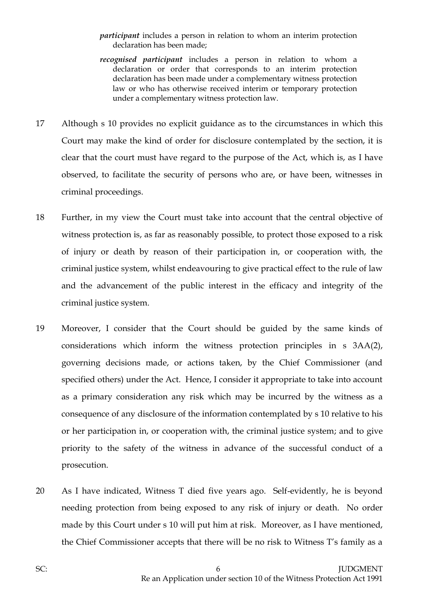#### *participant* includes a person in relation to whom an interim protection declaration has been made;

- *recognised participant* includes a person in relation to whom a declaration or order that corresponds to an interim protection declaration has been made under a complementary witness protection law or who has otherwise received interim or temporary protection under a complementary witness protection law.
- 17 Although s 10 provides no explicit guidance as to the circumstances in which this Court may make the kind of order for disclosure contemplated by the section, it is clear that the court must have regard to the purpose of the Act, which is, as I have observed, to facilitate the security of persons who are, or have been, witnesses in criminal proceedings.
- 18 Further, in my view the Court must take into account that the central objective of witness protection is, as far as reasonably possible, to protect those exposed to a risk of injury or death by reason of their participation in, or cooperation with, the criminal justice system, whilst endeavouring to give practical effect to the rule of law and the advancement of the public interest in the efficacy and integrity of the criminal justice system.
- 19 Moreover, I consider that the Court should be guided by the same kinds of considerations which inform the witness protection principles in s 3AA(2), governing decisions made, or actions taken, by the Chief Commissioner (and specified others) under the Act. Hence, I consider it appropriate to take into account as a primary consideration any risk which may be incurred by the witness as a consequence of any disclosure of the information contemplated by s 10 relative to his or her participation in, or cooperation with, the criminal justice system; and to give priority to the safety of the witness in advance of the successful conduct of a prosecution.
- 20 As I have indicated, Witness T died five years ago. Self-evidently, he is beyond needing protection from being exposed to any risk of injury or death. No order made by this Court under s 10 will put him at risk. Moreover, as I have mentioned, the Chief Commissioner accepts that there will be no risk to Witness T's family as a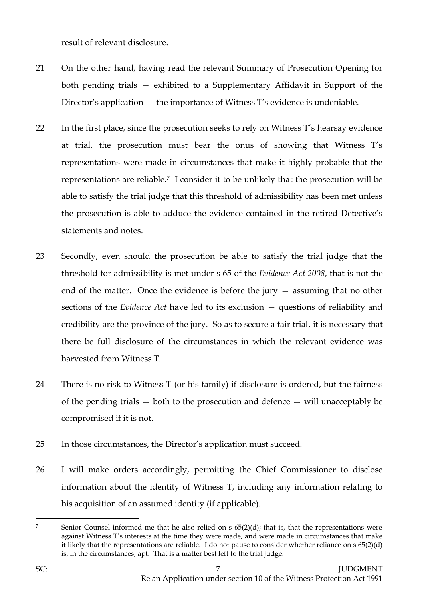result of relevant disclosure.

- 21 On the other hand, having read the relevant Summary of Prosecution Opening for both pending trials — exhibited to a Supplementary Affidavit in Support of the Director's application — the importance of Witness T's evidence is undeniable.
- 22 In the first place, since the prosecution seeks to rely on Witness T's hearsay evidence at trial, the prosecution must bear the onus of showing that Witness T's representations were made in circumstances that make it highly probable that the representations are reliable.7 I consider it to be unlikely that the prosecution will be able to satisfy the trial judge that this threshold of admissibility has been met unless the prosecution is able to adduce the evidence contained in the retired Detective's statements and notes.
- 23 Secondly, even should the prosecution be able to satisfy the trial judge that the threshold for admissibility is met under s 65 of the *Evidence Act 2008*, that is not the end of the matter. Once the evidence is before the jury — assuming that no other sections of the *Evidence Act* have led to its exclusion — questions of reliability and credibility are the province of the jury. So as to secure a fair trial, it is necessary that there be full disclosure of the circumstances in which the relevant evidence was harvested from Witness T.
- 24 There is no risk to Witness T (or his family) if disclosure is ordered, but the fairness of the pending trials — both to the prosecution and defence — will unacceptably be compromised if it is not.
- 25 In those circumstances, the Director's application must succeed.
- 26 I will make orders accordingly, permitting the Chief Commissioner to disclose information about the identity of Witness T, including any information relating to his acquisition of an assumed identity (if applicable).

<sup>7</sup> Senior Counsel informed me that he also relied on s 65(2)(d); that is, that the representations were against Witness T's interests at the time they were made, and were made in circumstances that make it likely that the representations are reliable. I do not pause to consider whether reliance on  $s\,65(2)(d)$ is, in the circumstances, apt. That is a matter best left to the trial judge.